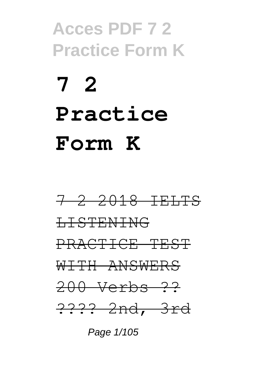# **7 2 Practice Form K**



Page 1/105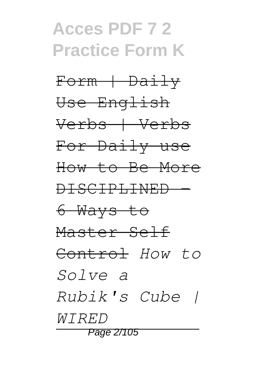Form + Daily Use English Verbs | Verbs For Daily use How to Be More DISCIPLINED - 6 Ways to Master Self Control *How to Solve a Rubik's Cube | WIRED* Page 2/105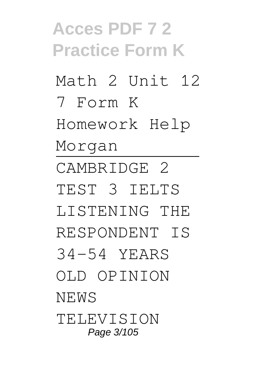**Acces PDF 7 2 Practice Form K** Math 2 Unit 12 7 Form K Homework Help Morgan CAMBRIDGE 2 TEST 3 IELTS LISTENING THE RESPONDENT IS 34-54 YEARS OLD OPINION NEWS **TELEVISION** Page 3/105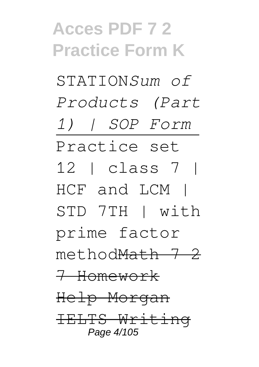STATION*Sum of Products (Part 1) | SOP Form* Practice set 12 | class 7 | HCF and LCM | STD 7TH | with prime factor methodMath 7 2 7 Homework Help Morgan IELTS Writing Page 4/105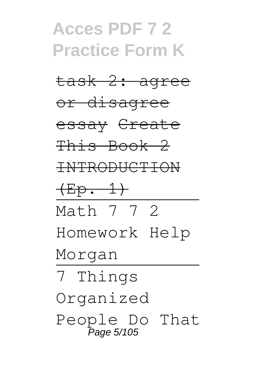## **Acces PDF 7 2 Practice Form K** task 2: agree

or disagree

essay Create

This Book 2

INTRODUCTION

 $(Ep. 1)$ 

Math 7 7 2

Homework Help

Morgan

7 Things Organized People Do That .<br>Page 5/105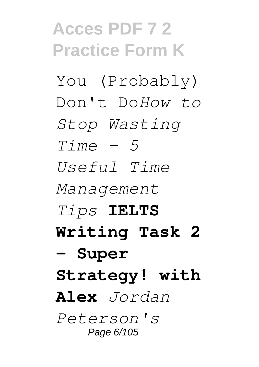You (Probably) Don't Do*How to Stop Wasting Time - 5 Useful Time Management Tips* **IELTS Writing Task 2 - Super Strategy! with Alex** *Jordan Peterson's* Page 6/105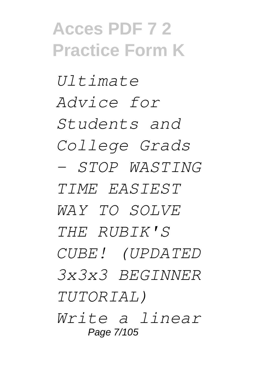*Ultimate Advice for Students and College Grads - STOP WASTING TIME EASIEST WAY TO SOLVE THE RUBIK'S CUBE! (UPDATED 3x3x3 BEGINNER TUTORIAL) Write a linear* Page 7/105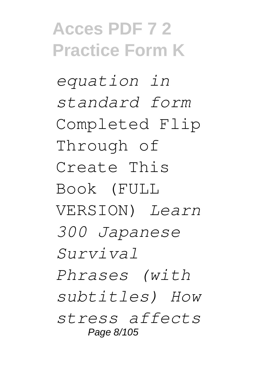*equation in standard form* Completed Flip Through of Create This Book (FULL VERSION) *Learn 300 Japanese Survival Phrases (with subtitles) How stress affects* Page 8/105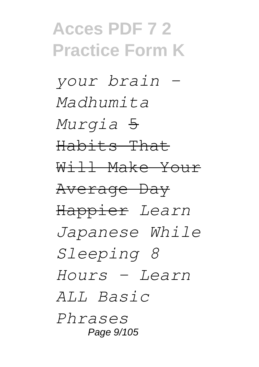*your brain - Madhumita Murgia* 5 Habits That Will Make Your Average Day Happier *Learn Japanese While Sleeping 8 Hours - Learn ALL Basic Phrases* Page 9/105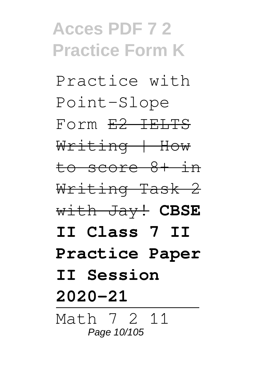Practice with Point-Slope Form E2 IELTS Writing | How to score 8+ in Writing Task 2 with Jay! **CBSE II Class 7 II Practice Paper II Session 2020-21** Math 7 2 11 Page 10/105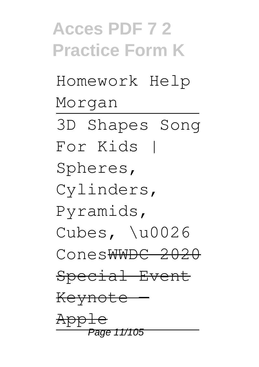## **Acces PDF 7 2 Practice Form K** Homework Help Morgan 3D Shapes Song For Kids | Spheres, Cylinders, Pyramids, Cubes, \u0026 ConesWWDC 2020 Special Event Keynote — Apple Page 11/105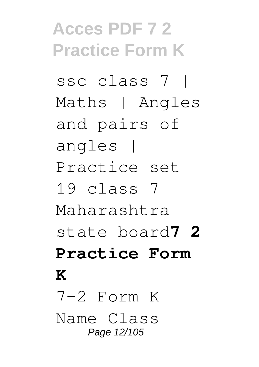ssc class 7 | Maths | Angles and pairs of angles | Practice set 19 class 7 Maharashtra state board**7 2 Practice Form K**  $7-2$  Form K Name Class Page 12/105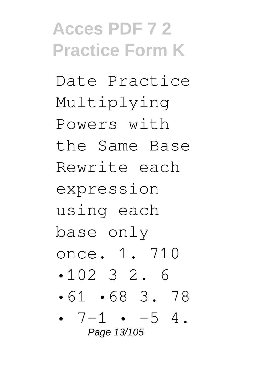Date Practice Multiplying Powers with the Same Base Rewrite each expression using each base only once. 1. 710 •102 3 2. 6 •61 •68 3. 78 •  $7-1$  •  $-5$  4. Page 13/105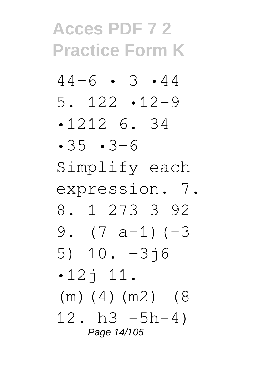- $44-6$  3 44 5. 122 •12–9
- •1212 6. 34
- •35 •3–6
- Simplify each
- expression. 7.
- 8. 1 273 3 92 9.  $(7 a-1) (-3)$
- 5) 10. –3j6  $-12$ <sup> $+11$ </sup>.
- (m)(4)(m2) (8

12. h3  $-5h-4$ ) Page 14/105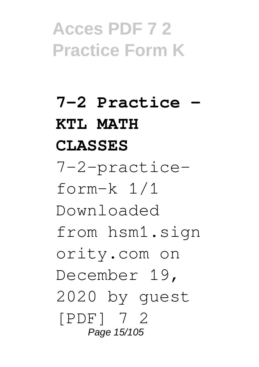**7-2 Practice - KTL MATH CLASSES** 7-2-practiceform-k 1/1 Downloaded from hsm1.sign ority.com on December 19, 2020 by guest [PDF] 7 2 Page 15/105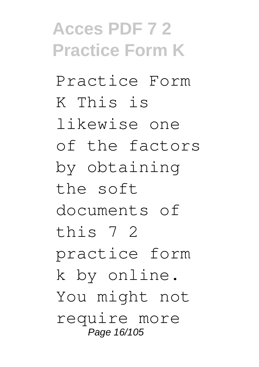Practice Form K This is likewise one of the factors by obtaining the soft documents of this 7 2 practice form k by online. You might not require more Page 16/105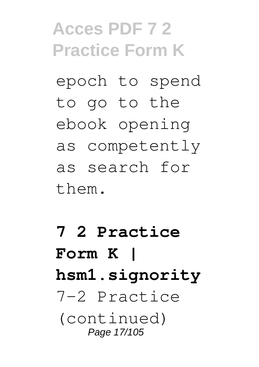epoch to spend to go to the ebook opening as competently as search for them.

#### **7 2 Practice Form K | hsm1.signority** 7-2 Practice (continued) Page 17/105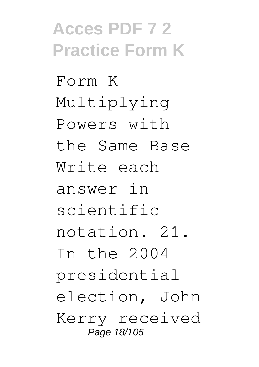Form K Multiplying Powers with the Same Base Write each answer in scientific notation. 21. In the 2004 presidential election, John Kerry received Page 18/105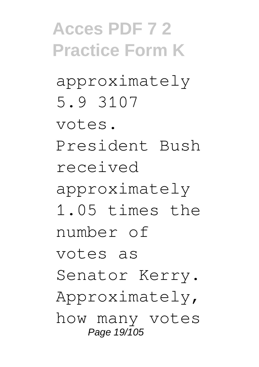approximately 5.9 3107

votes.

President Bush received

approximately

1.05 times the number of

votes as

Senator Kerry.

Approximately,

how many votes Page 19/105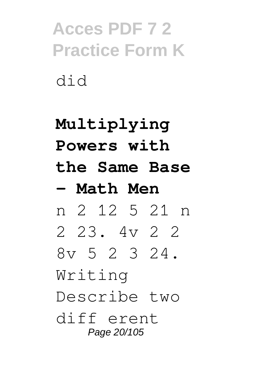#### **Multiplying Powers with the Same Base - Math Men** n 2 12 5 21 n 2 23. 4v 2 2 8v 5 2 3 24. Writing Describe two diff erent Page 20/105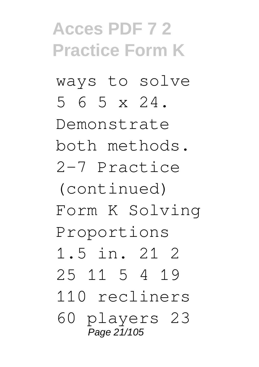ways to solve 5 6 5 x 24.

Demonstrate both methods. 2-7 Practice

(continued) Form K Solving Proportions

1.5 in. 21 2

25 11 5 4 19

110 recliners

60 players 23 Page 21/105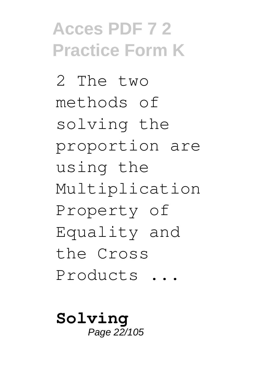2 The two methods of solving the proportion are using the Multiplication Property of Equality and the Cross Products ...

**Solving** Page 22/105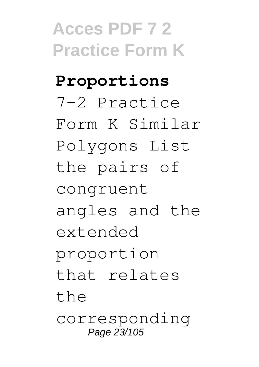**Proportions** 7-2 Practice Form K Similar Polygons List the pairs of congruent angles and the extended proportion that relates the corresponding Page 23/105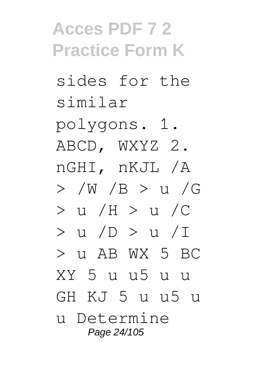sides for the similar

polygons. 1. ABCD, WXYZ 2. nGHI, nKJL /A > /W /B > u /G > u /H > u /C > u /D > u /I  $>$  11 AB WX 5 BC XY 5 u u5 u u GH KJ 5 u u5 u u Determine Page 24/105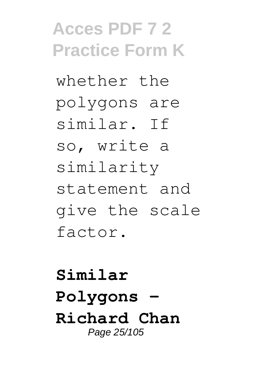whether the polygons are similar. If so, write a similarity statement and give the scale factor.

**Similar Polygons - Richard Chan** Page 25/105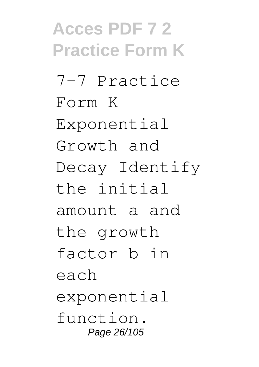**Acces PDF 7 2 Practice Form K** 7-7 Practice Form K Exponential Growth and Decay Identify the initial amount a and the growth factor b in each exponential function. Page 26/105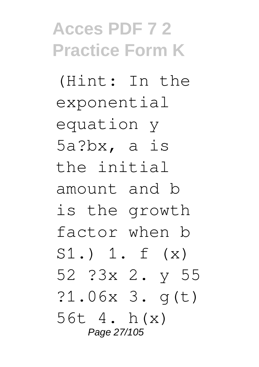(Hint: In the exponential equation y 5a?bx, a is the initial amount and b is the growth factor when b S1.) 1. f (x) 52 ?3x 2. y 55 ?1.06x 3. g(t) 56t 4. h(x) Page 27/105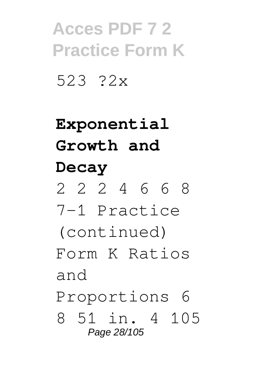523 ?2x

### **Exponential Growth and Decay**

2 2 2 4 6 6 8

7-1 Practice

(continued)

Form K Ratios and

Proportions 6

8 51 in. 4 105 Page 28/105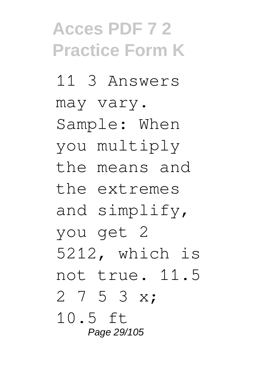11 3 Answers may vary. Sample: When you multiply the means and the extremes and simplify, you get 2 5212, which is not true. 11.5 2 7 5 3 x; 10.5 ft Page 29/105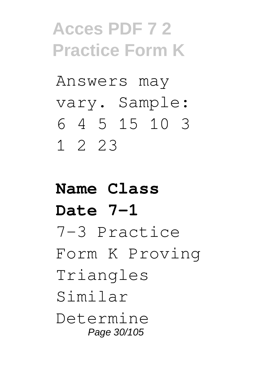Answers may vary. Sample: 6 4 5 15 10 3 1 2 23

#### **Name Class Date 7-1** 7-3 Practice Form K Proving Triangles Similar Determine Page 30/105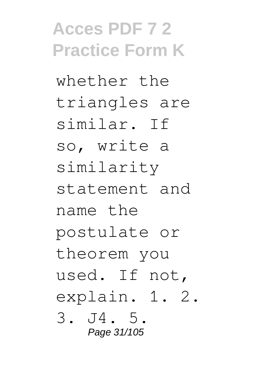whether the triangles are similar. If so, write a similarity statement and name the postulate or theorem you used. If not, explain. 1. 2. 3. J4. 5. Page 31/105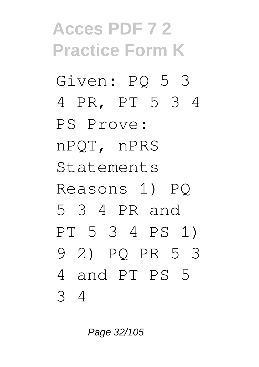## **Acces PDF 7 2 Practice Form K** Given: PQ 5 3 4 PR, PT 5 3 4 PS Prove: nPQT, nPRS Statements Reasons 1) PQ 5 3 4 PR and PT 5 3 4 PS 1) 9 2) PQ PR 5 3 4 and PT PS 5 3 4

Page 32/105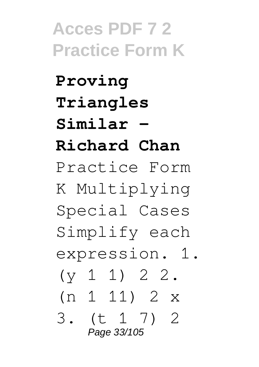**Proving Triangles Similar - Richard Chan** Practice Form K Multiplying Special Cases Simplify each expression. 1.  $(y 1 1) 2 2.$ (n 1 11) 2 x 3. (t 1 7) 2 Page 33/105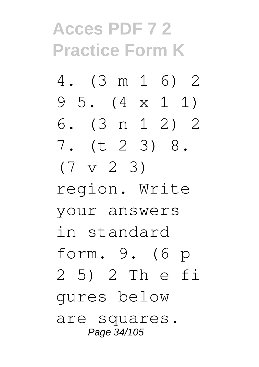- 4. (3 m 1 6) 2 9 5. (4 x 1 1)
- 6. (3 n 1 2) 2 7. (t 2 3) 8.
- $(7 \text{ v } 2 \text{ } 3)$
- region. Write your answers in standard form. 9. (6 p 2 5) 2 Th e fi gures below are squares. Page 34/105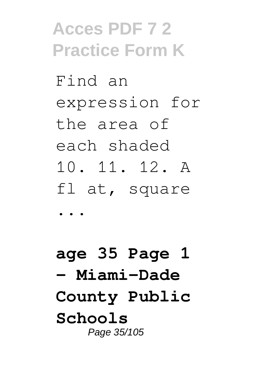Find an expression for the area of each shaded 10. 11. 12. A fl at, square

...

**age 35 Page 1 - Miami-Dade County Public Schools** Page 35/105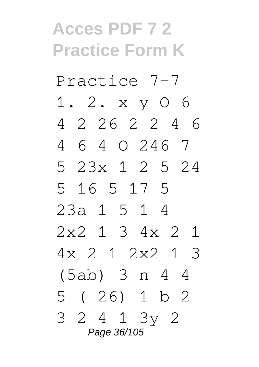Practice 7-7 1. 2. x y O 6

4 2 26 2 2 4 6 4 6 4 O 246 7

5 23x 1 2 5 24

5 16 5 17 5 23a 1 5 1 4

2x2 1 3 4x 2 1

4x 2 1 2x2 1 3

(5ab) 3 n 4 4

5 ( 26) 1 b 2 3 2 4 1 3y 2

Page 36/105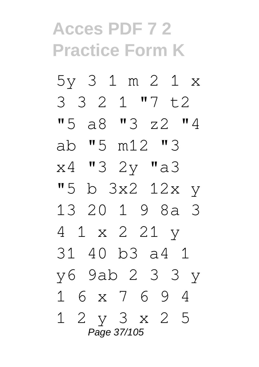5y 3 1 m 2 1 x 3 3 2 1 "7 t2 "5 a8 "3 z2 "4 ab "5 m12 "3 x4 "3 2y "a3 "5 b 3x2 12x y 13 20 1 9 8a 3 4 1 x 2 21 y 31 40 b3 a4 1 y6 9ab 2 3 3 y 1 6 x 7 6 9 4 1 2 y 3 x 2 5 Page 37/105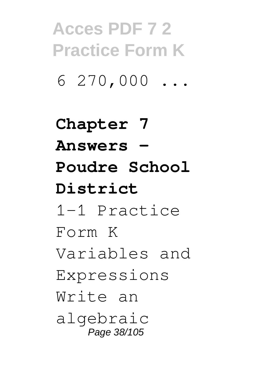$6270,000...$ 

**Chapter 7 Answers - Poudre School District** 1-1 Practice Form K Variables and Expressions Write an algebraic Page 38/105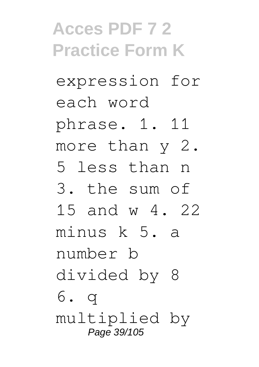expression for each word

phrase. 1. 11

more than y 2.

5 less than n

3. the sum of

15 and w 4. 22

minus k 5. a number b

divided by 8

6. q multiplied by Page 39/105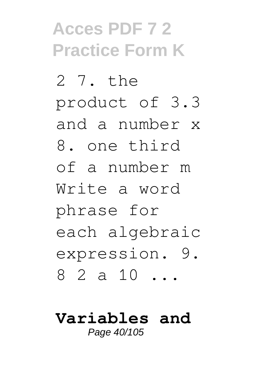2 7. the product of 3.3 and a number x 8. one third of a number m Write a word phrase for each algebraic expression. 9. 8 2 a 10 ...

#### **Variables and** Page 40/105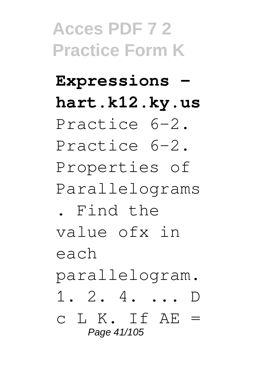### **Expressions hart.k12.ky.us**

- Practice 6-2.
- Practice 6-2. Properties of

Parallelograms

. Find the

value ofx in

each

parallelogram.

- 1. 2. 4. ... D
- $c L K. If AE =$ Page 41/105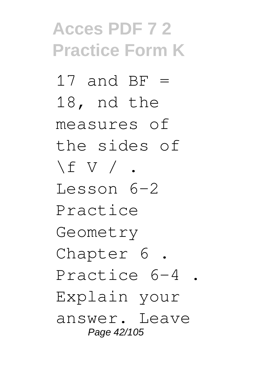17 and  $BF =$ 18, nd the measures of the sides of  $\setminus$  f V  $/$  . Lesson 6-2 Practice Geometry Chapter 6 . Practice 6-4 . Explain your answer. Leave Page 42/105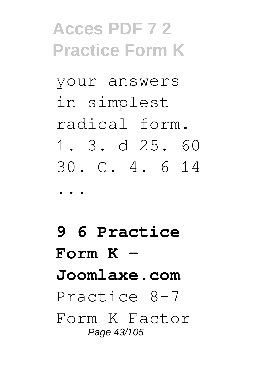your answers in simplest radical form. 1. 3. d 25. 60 30. C. 4. 6 14 ...

**9 6 Practice Form K - Joomlaxe.com** Practice 8-7 Form K Factor Page 43/105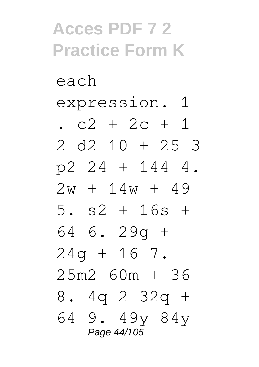each expression. 1

.  $c2 + 2c + 1$ 

- 2 d2 10 + 25 3 p2 24 + 144 4.
- $2w + 14w + 49$
- 5. s2 + 16s + 64 6. 29g +

 $24q + 16$  7. 25m2 60m + 36

8. 4q 2 32q +

64 9. 49y 84y Page 44/105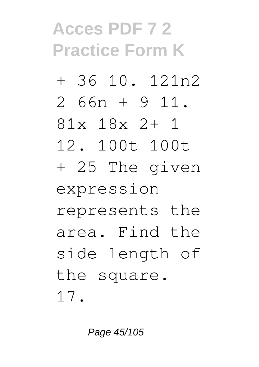- + 36 10. 121n2
- 2 66n + 9 11.
- 81x 18x 2+ 1
- 12. 100t 100t
- + 25 The given

expression

- represents the
- area. Find the
- side length of

the square.

17.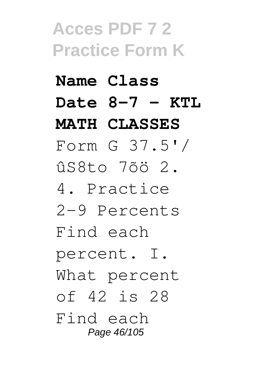### **Name Class Date 8-7 - KTL MATH CLASSES**

Form G 37.5'/ ûS8to 7õö 2.

4. Practice 2-9 Percents

Find each

percent. I. What percent

of 42 is 28

Find each Page 46/105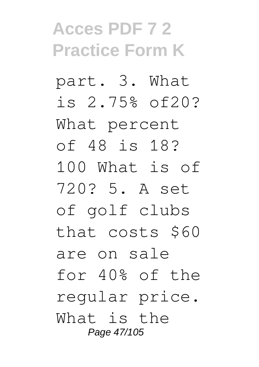part. 3. What is 2.75% of20? What percent of 48 is 18? 100 What is of 720? 5. A set of golf clubs that costs \$60 are on sale for 40% of the regular price. What is the Page 47/105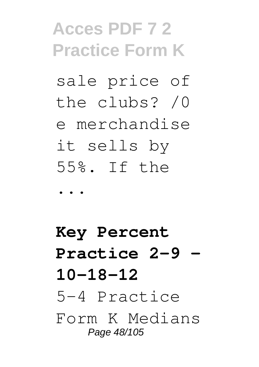sale price of the clubs? /0 e merchandise it sells by 55%. If the

...

**Key Percent Practice 2-9 - 10-18-12** 5-4 Practice Form K Medians Page 48/105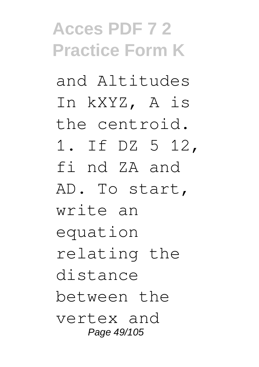and Altitudes In kXYZ, A is the centroid. 1. If DZ 5 12, fi nd ZA and AD. To start, write an equation relating the distance between the vertex and Page 49/105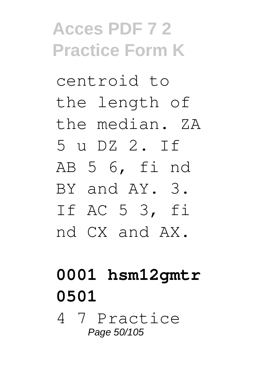centroid to the length of the median. ZA 5 u DZ 2. If AB 5 6, fi nd BY and AY. 3. If AC 5 3, fi nd CX and AX.

### **0001 hsm12gmtr 0501**

4 7 Practice Page 50/105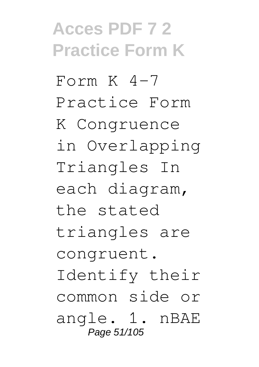Form  $K$  4-7 Practice Form K Congruence in Overlapping Triangles In each diagram, the stated triangles are congruent. Identify their common side or angle. 1. nBAE Page 51/105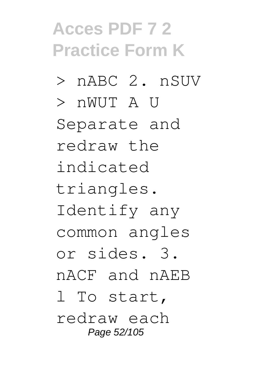- > nABC 2. nSUV
- > nWUT A U

Separate and redraw the indicated triangles. Identify any common angles or sides. 3. nACF and nAEB l To start, redraw each

Page 52/105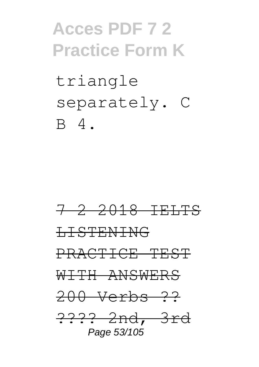triangle separately. C B 4.

7 2 2018 IELTS LISTENING PRACTICE TEST WITH ANSWERS 200 Verbs ?? ???? 2nd, 3rd Page 53/105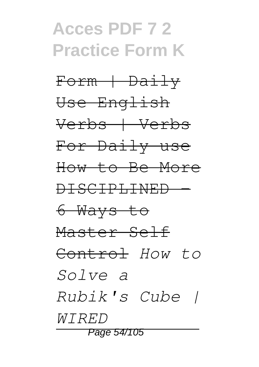Form + Daily Use English Verbs | Verbs For Daily use How to Be More DISCIPLINED - 6 Ways to Master Self Control *How to Solve a Rubik's Cube | WIRED* Page 54/105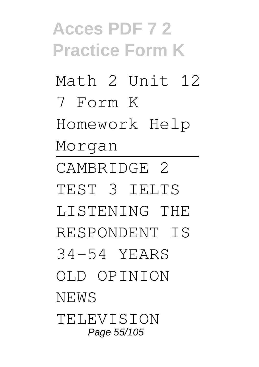**Acces PDF 7 2 Practice Form K** Math 2 Unit 12 7 Form K Homework Help Morgan CAMBRIDGE 2 TEST 3 IELTS LISTENING THE RESPONDENT IS 34-54 YEARS OLD OPINION NEWS **TELEVISION** Page 55/105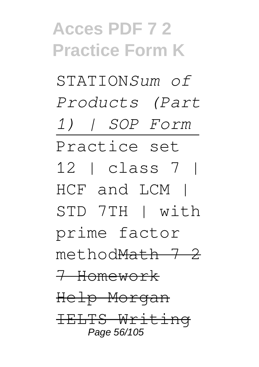STATION*Sum of Products (Part 1) | SOP Form* Practice set 12 | class 7 | HCF and LCM | STD 7TH | with prime factor methodMath 7 2 7 Homework Help Morgan IELTS Writing Page 56/105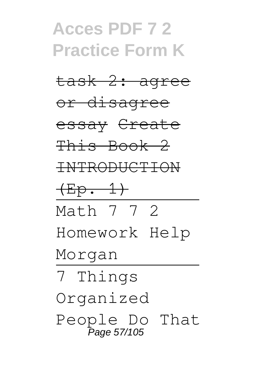# **Acces PDF 7 2 Practice Form K** task 2: agree

or disagree

essay Create

This Book 2

INTRODUCTION

 $(Ep. 1)$ 

Math 7 7 2

Homework Help

Morgan

7 Things Organized People Do That<br>Page 57/105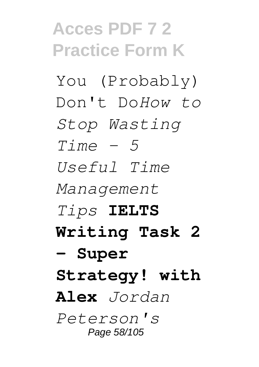You (Probably) Don't Do*How to Stop Wasting Time - 5 Useful Time Management Tips* **IELTS Writing Task 2 - Super Strategy! with Alex** *Jordan Peterson's* Page 58/105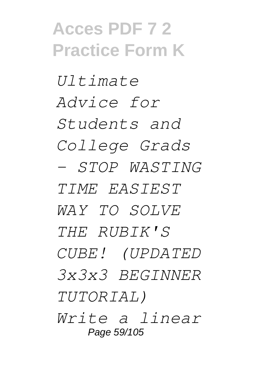*Ultimate Advice for Students and College Grads - STOP WASTING TIME EASIEST WAY TO SOLVE THE RUBIK'S CUBE! (UPDATED 3x3x3 BEGINNER TUTORIAL) Write a linear* Page 59/105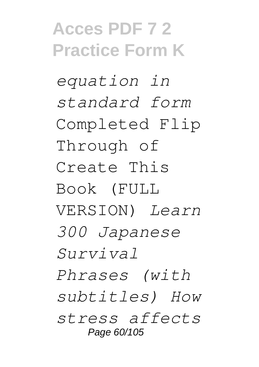*equation in standard form* Completed Flip Through of Create This Book (FULL VERSION) *Learn 300 Japanese Survival Phrases (with subtitles) How stress affects* Page 60/105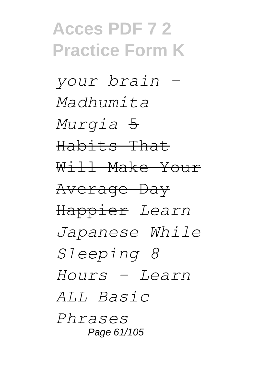*your brain - Madhumita Murgia* 5 Habits That Will Make Your Average Day Happier *Learn Japanese While Sleeping 8 Hours - Learn ALL Basic Phrases* Page 61/105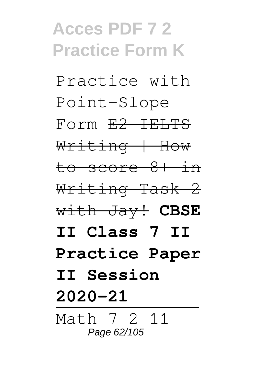Practice with Point-Slope Form E2 IELTS Writing | How to score 8+ in Writing Task 2 with Jay! **CBSE II Class 7 II Practice Paper II Session 2020-21** Math 7 2 11 Page 62/105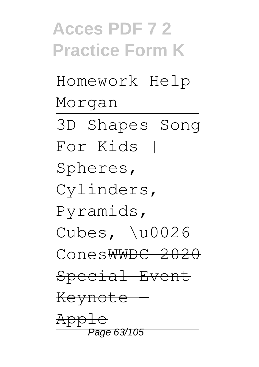# **Acces PDF 7 2 Practice Form K** Homework Help Morgan 3D Shapes Song For Kids | Spheres, Cylinders, Pyramids, Cubes, \u0026 ConesWWDC 2020 Special Event Keynote App Page 63/105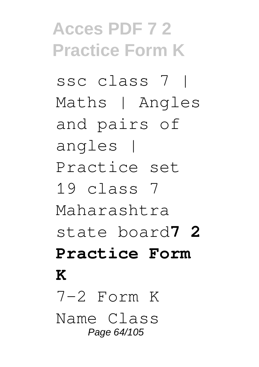ssc class 7 | Maths | Angles and pairs of angles | Practice set 19 class 7 Maharashtra state board**7 2 Practice Form K**  $7-2$  Form K Name Class Page 64/105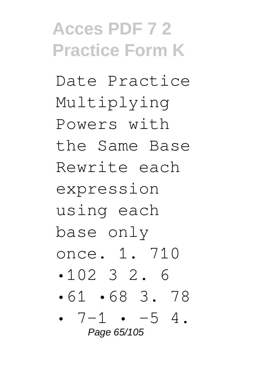Date Practice Multiplying Powers with the Same Base Rewrite each expression using each base only once. 1. 710 •102 3 2. 6 •61 •68 3. 78 •  $7-1$  •  $-5$  4.

Page 65/105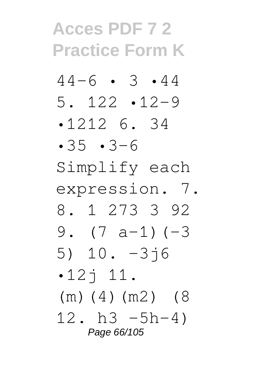- $44-6$  3 44 5. 122 •12–9
- •1212 6. 34
- •35 •3–6
- Simplify each
- expression. 7.
- 8. 1 273 3 92 9.  $(7 a-1) (-3)$
- 5) 10. –3j6
- $-12$ <sup> $+11$ </sup>.
- (m)(4)(m2) (8
- 12. h3  $-5h-4$ ) Page 66/105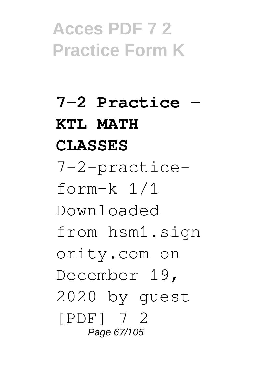**7-2 Practice - KTL MATH CLASSES** 7-2-practiceform-k 1/1 Downloaded from hsm1.sign ority.com on December 19, 2020 by guest [PDF] 7 2 Page 67/105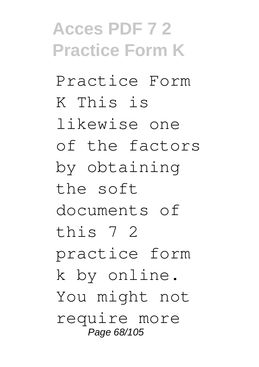Practice Form K This is likewise one of the factors by obtaining the soft documents of this 7 2 practice form k by online. You might not require more Page 68/105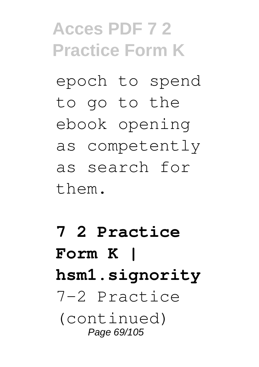epoch to spend to go to the ebook opening as competently as search for them.

### **7 2 Practice Form K | hsm1.signority** 7-2 Practice (continued) Page 69/105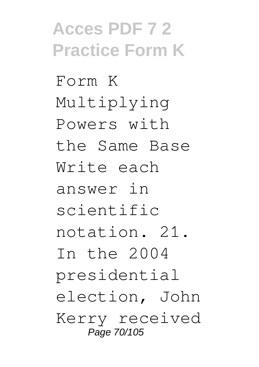Form K Multiplying Powers with the Same Base Write each answer in scientific notation. 21. In the 2004 presidential election, John Kerry received Page 70/105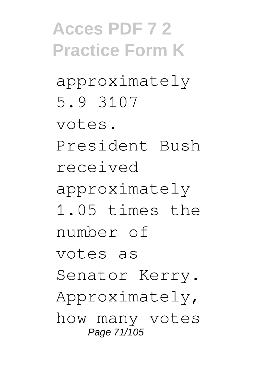approximately 5.9 3107

votes.

President Bush received

approximately

1.05 times the number of

votes as

Senator Kerry.

Approximately,

how many votes Page 71/105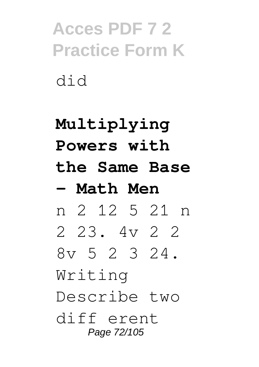### **Multiplying Powers with the Same Base - Math Men** n 2 12 5 21 n 2 23. 4v 2 2 8v 5 2 3 24. Writing Describe two diff erent Page 72/105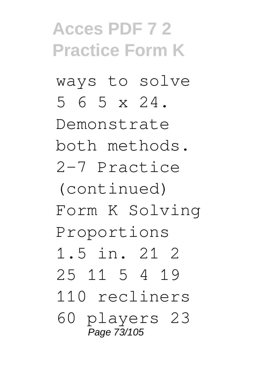ways to solve 5 6 5 x 24.

Demonstrate both methods. 2-7 Practice

(continued) Form K Solving Proportions

1.5 in. 21 2

25 11 5 4 19

110 recliners

60 players 23 Page 73/105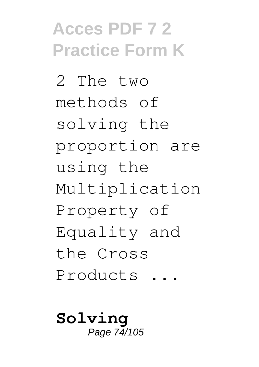2 The two methods of solving the proportion are using the Multiplication Property of Equality and the Cross Products ...

**Solving** Page 74/105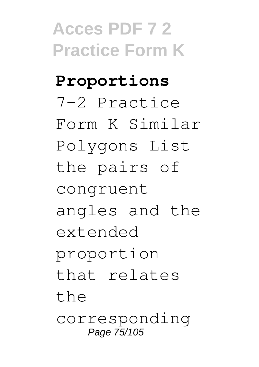**Proportions** 7-2 Practice Form K Similar Polygons List the pairs of congruent angles and the extended proportion that relates the corresponding Page 75/105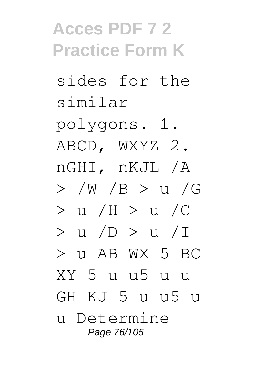sides for the similar

polygons. 1. ABCD, WXYZ 2. nGHI, nKJL /A > /W /B > u /G > u /H > u /C > u /D > u /I  $>$  11 AB WX 5 BC XY 5 u u5 u u GH KJ 5 u u5 u u Determine Page 76/105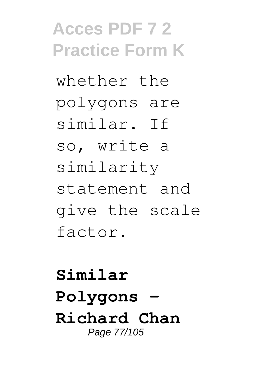whether the polygons are similar. If so, write a similarity statement and give the scale factor.

**Similar Polygons - Richard Chan** Page 77/105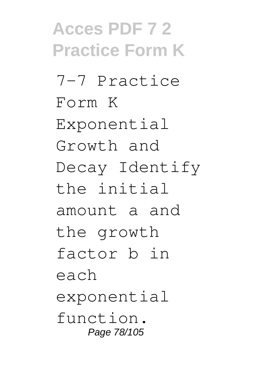**Acces PDF 7 2 Practice Form K** 7-7 Practice Form K Exponential Growth and Decay Identify the initial amount a and the growth factor b in each exponential function. Page 78/105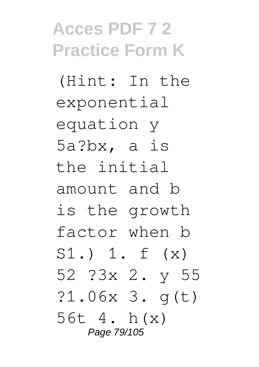(Hint: In the exponential equation y 5a?bx, a is the initial amount and b is the growth factor when b S1.) 1. f (x) 52 ?3x 2. y 55 ?1.06x 3. g(t) 56t 4. h(x) Page 79/105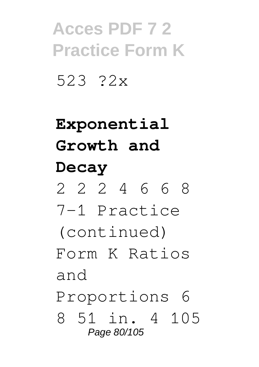523 ?2x

### **Exponential Growth and Decay**

2 2 2 4 6 6 8

7-1 Practice

(continued)

Form K Ratios and

Proportions 6

8 51 in. 4 105 Page 80/105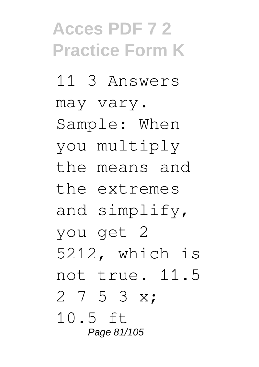11 3 Answers may vary. Sample: When you multiply the means and the extremes and simplify, you get 2 5212, which is not true. 11.5 2 7 5 3 x; 10.5 ft Page 81/105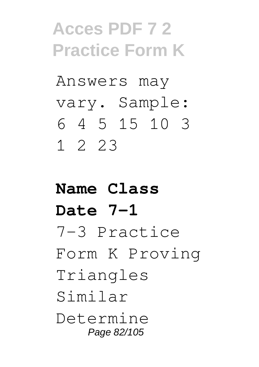Answers may vary. Sample: 6 4 5 15 10 3 1 2 23

#### **Name Class Date 7-1** 7-3 Practice Form K Proving Triangles Similar Determine Page 82/105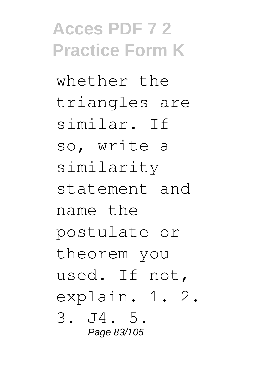whether the triangles are similar. If so, write a similarity statement and name the postulate or theorem you used. If not, explain. 1. 2. 3. J4. 5. Page 83/105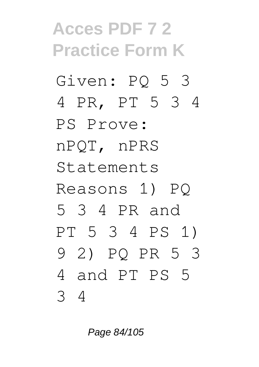# **Acces PDF 7 2 Practice Form K** Given: PQ 5 3 4 PR, PT 5 3 4 PS Prove: nPQT, nPRS Statements Reasons 1) PQ 5 3 4 PR and PT 5 3 4 PS 1) 9 2) PQ PR 5 3 4 and PT PS 5 3 4

Page 84/105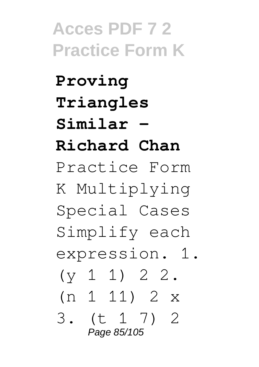**Proving Triangles Similar - Richard Chan** Practice Form K Multiplying Special Cases Simplify each expression. 1.  $(y 1 1) 2 2.$ (n 1 11) 2 x 3. (t 1 7) 2 Page 85/105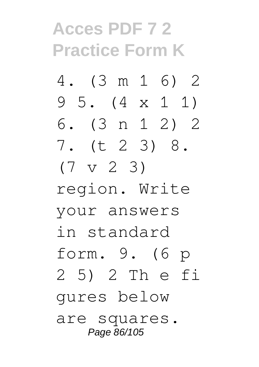- 4. (3 m 1 6) 2 9 5. (4 x 1 1)
- 6. (3 n 1 2) 2 7. (t 2 3) 8.
- $(7 \text{ v } 2 \text{ } 3)$

region. Write your answers in standard form. 9. (6 p 2 5) 2 Th e fi gures below are squares. Page 86/105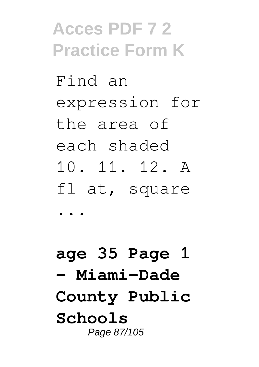Find an expression for the area of each shaded 10. 11. 12. A fl at, square

...

**age 35 Page 1 - Miami-Dade County Public Schools** Page 87/105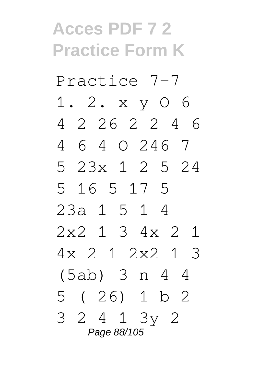Practice 7-7 1. 2. x y O 6 4 2 26 2 2 4 6

4 6 4 O 246 7

5 23x 1 2 5 24 5 16 5 17 5

23a 1 5 1 4 2x2 1 3 4x 2 1

4x 2 1 2x2 1 3

(5ab) 3 n 4 4

5 ( 26) 1 b 2 3 2 4 1 3y 2

Page 88/105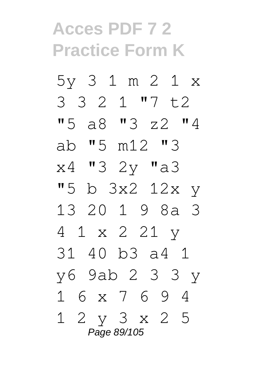5y 3 1 m 2 1 x 3 3 2 1 "7 t2 "5 a8 "3 z2 "4 ab "5 m12 "3 x4 "3 2y "a3 "5 b 3x2 12x y 13 20 1 9 8a 3 4 1 x 2 21 y 31 40 b3 a4 1 y6 9ab 2 3 3 y 1 6 x 7 6 9 4 1 2 y 3 x 2 5 Page 89/105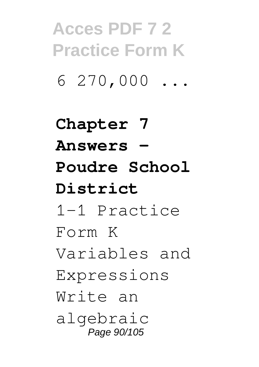$6270,000...$ 

**Chapter 7 Answers - Poudre School District** 1-1 Practice Form K Variables and Expressions Write an algebraic Page 90/105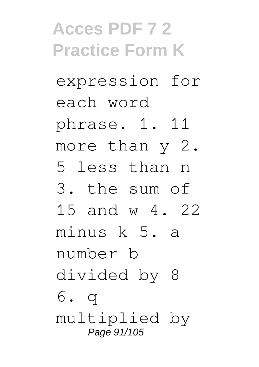expression for each word

phrase. 1. 11

more than y 2.

5 less than n

3. the sum of

15 and w 4. 22

minus k 5. a number b

divided by 8 6. q

multiplied by Page 91/105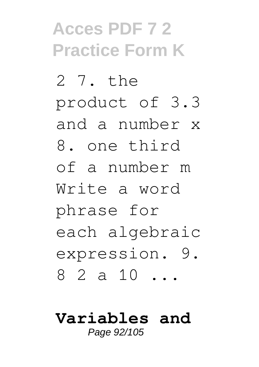2 7. the product of 3.3 and a number x 8. one third of a number m Write a word phrase for each algebraic expression. 9. 8 2 a 10 ...

### **Variables and**

Page 92/105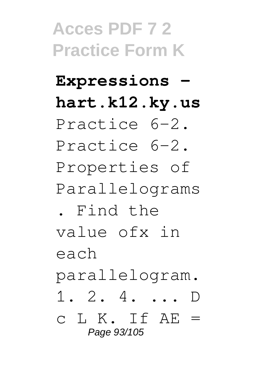#### **Expressions hart.k12.ky.us**

- Practice 6-2.
- Practice 6-2. Properties of

Parallelograms

. Find the

value ofx in

each

parallelogram.

1. 2. 4. ... D

 $c L K. If AE =$ Page 93/105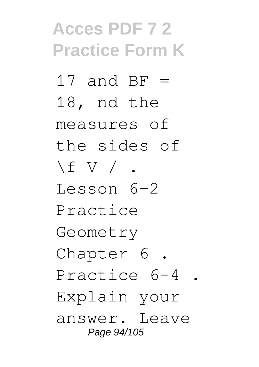17 and  $BF =$ 18, nd the measures of the sides of  $\setminus$  f V  $/$  . Lesson 6-2 Practice Geometry Chapter 6 . Practice 6-4 . Explain your answer. Leave Page 94/105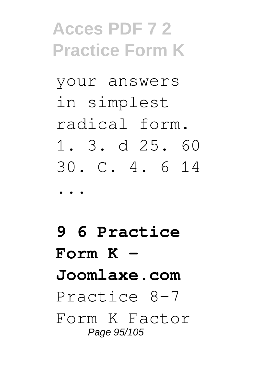your answers in simplest radical form. 1. 3. d 25. 60 30. C. 4. 6 14 ...

**9 6 Practice Form K - Joomlaxe.com** Practice 8-7 Form K Factor Page 95/105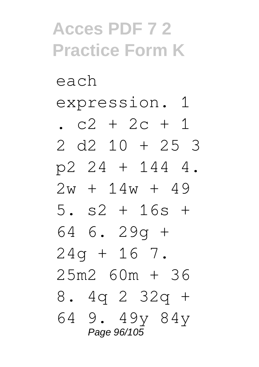each expression. 1

.  $c2 + 2c + 1$ 

- 2 d2 10 + 25 3 p2 24 + 144 4.
- $2w + 14w + 49$
- 5. s2 + 16s + 64 6. 29g +

 $24q + 16$  7. 25m2 60m + 36

8. 4q 2 32q +

64 9. 49y 84y Page 96/105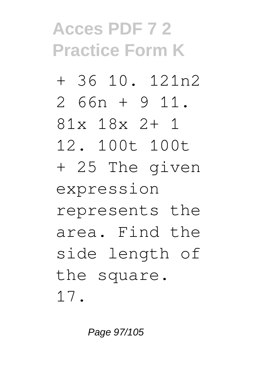- + 36 10. 121n2
- 2 66n + 9 11.
- 81x 18x 2+ 1
- 12. 100t 100t
- + 25 The given

expression

- represents the
- area. Find the
- side length of

the square.

17.

Page 97/105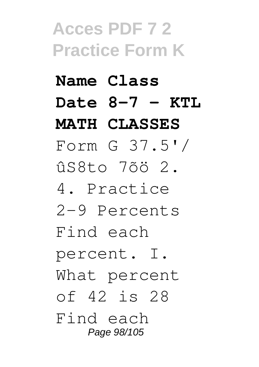#### **Name Class Date 8-7 - KTL MATH CLASSES**

Form G 37.5'/ ûS8to 7õö 2.

4. Practice 2-9 Percents

Find each

percent. I.

What percent

of 42 is 28

Find each Page 98/105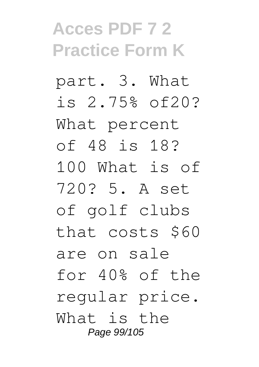part. 3. What is 2.75% of20? What percent of 48 is 18? 100 What is of 720? 5. A set of golf clubs that costs \$60 are on sale for 40% of the regular price. What is the Page 99/105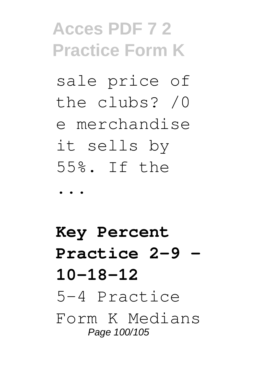sale price of the clubs? /0 e merchandise it sells by 55%. If the

...

**Key Percent Practice 2-9 - 10-18-12** 5-4 Practice Form K Medians Page 100/105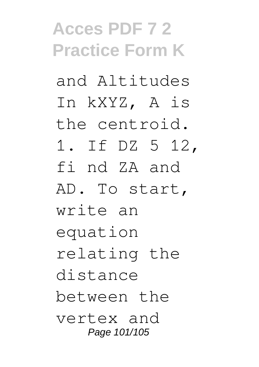and Altitudes In kXYZ, A is the centroid. 1. If DZ 5 12, fi nd ZA and AD. To start, write an equation relating the distance between the vertex and Page 101/105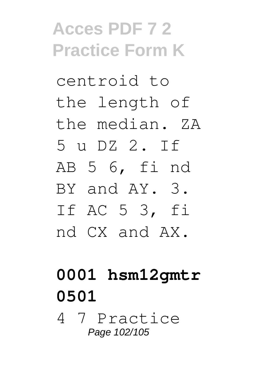centroid to the length of the median. ZA 5 u DZ 2. If AB 5 6, fi nd BY and AY. 3. If AC 5 3, fi nd CX and AX.

#### **0001 hsm12gmtr 0501**

4 7 Practice Page 102/105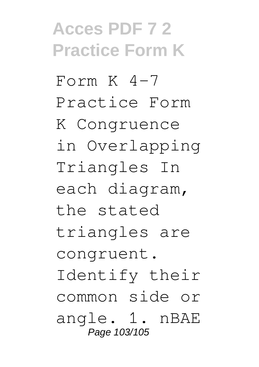$From K 4-7$ Practice Form K Congruence in Overlapping Triangles In each diagram, the stated triangles are congruent. Identify their common side or angle. 1. nBAE Page 103/105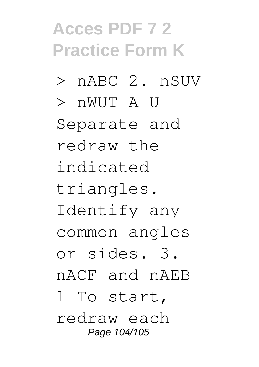- > nABC 2. nSUV
- > nWUT A U

Separate and redraw the indicated triangles. Identify any common angles or sides. 3. nACF and nAEB l To start, redraw each

Page 104/105